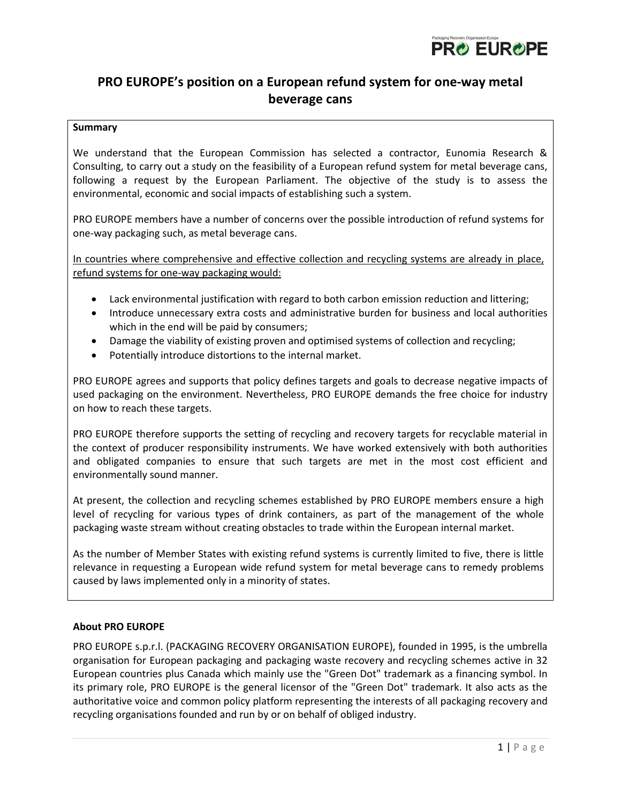

# **PRO EUROPE's position on a European refund system for one-way metal beverage cans**

## **Summary**

We understand that the European Commission has selected a contractor, Eunomia Research & Consulting, to carry out a study on the feasibility of a European refund system for metal beverage cans, following a request by the European Parliament. The objective of the study is to assess the environmental, economic and social impacts of establishing such a system.

PRO EUROPE members have a number of concerns over the possible introduction of refund systems for one-way packaging such, as metal beverage cans.

In countries where comprehensive and effective collection and recycling systems are already in place, refund systems for one-way packaging would:

- Lack environmental justification with regard to both carbon emission reduction and littering;
- Introduce unnecessary extra costs and administrative burden for business and local authorities which in the end will be paid by consumers;
- Damage the viability of existing proven and optimised systems of collection and recycling;
- Potentially introduce distortions to the internal market.

PRO EUROPE agrees and supports that policy defines targets and goals to decrease negative impacts of used packaging on the environment. Nevertheless, PRO EUROPE demands the free choice for industry on how to reach these targets.

PRO EUROPE therefore supports the setting of recycling and recovery targets for recyclable material in the context of producer responsibility instruments. We have worked extensively with both authorities and obligated companies to ensure that such targets are met in the most cost efficient and environmentally sound manner.

At present, the collection and recycling schemes established by PRO EUROPE members ensure a high level of recycling for various types of drink containers, as part of the management of the whole packaging waste stream without creating obstacles to trade within the European internal market.

As the number of Member States with existing refund systems is currently limited to five, there is little relevance in requesting a European wide refund system for metal beverage cans to remedy problems caused by laws implemented only in a minority of states.

## **About PRO EUROPE**

PRO EUROPE s.p.r.l. (PACKAGING RECOVERY ORGANISATION EUROPE), founded in 1995, is the umbrella organisation for European packaging and packaging waste recovery and recycling schemes active in 32 European countries plus Canada which mainly use the "Green Dot" trademark as a financing symbol. In its primary role, PRO EUROPE is the general licensor of the "Green Dot" trademark. It also acts as the authoritative voice and common policy platform representing the interests of all packaging recovery and recycling organisations founded and run by or on behalf of obliged industry.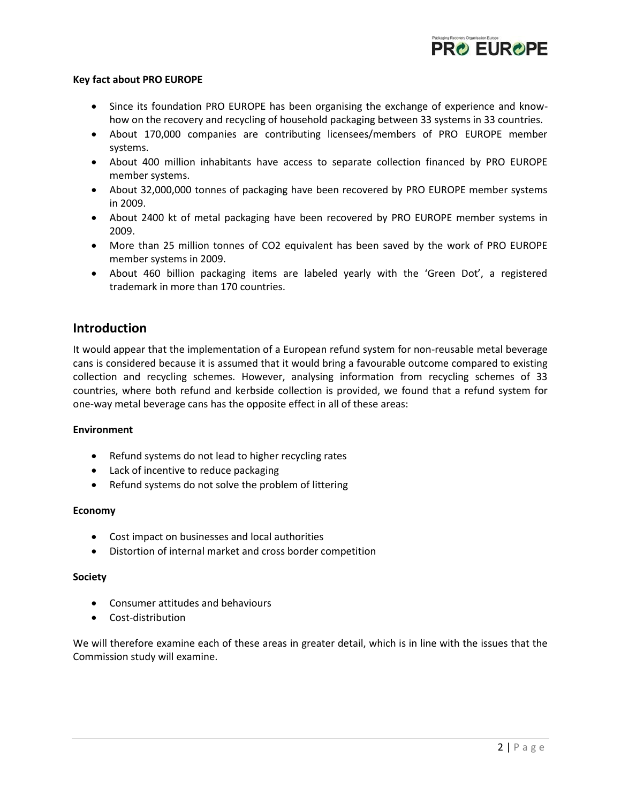

#### **Key fact about PRO EUROPE**

- Since its foundation PRO EUROPE has been organising the exchange of experience and knowhow on the recovery and recycling of household packaging between 33 systems in 33 countries.
- About 170,000 companies are contributing licensees/members of PRO EUROPE member systems.
- About 400 million inhabitants have access to separate collection financed by PRO EUROPE member systems.
- About 32,000,000 tonnes of packaging have been recovered by PRO EUROPE member systems in 2009.
- About 2400 kt of metal packaging have been recovered by PRO EUROPE member systems in 2009.
- More than 25 million tonnes of CO2 equivalent has been saved by the work of PRO EUROPE member systems in 2009.
- About 460 billion packaging items are labeled yearly with the 'Green Dot', a registered trademark in more than 170 countries.

## **Introduction**

It would appear that the implementation of a European refund system for non-reusable metal beverage cans is considered because it is assumed that it would bring a favourable outcome compared to existing collection and recycling schemes. However, analysing information from recycling schemes of 33 countries, where both refund and kerbside collection is provided, we found that a refund system for one-way metal beverage cans has the opposite effect in all of these areas:

## **Environment**

- Refund systems do not lead to higher recycling rates
- Lack of incentive to reduce packaging
- Refund systems do not solve the problem of littering

## **Economy**

- Cost impact on businesses and local authorities
- Distortion of internal market and cross border competition

#### **Society**

- Consumer attitudes and behaviours
- Cost-distribution

We will therefore examine each of these areas in greater detail, which is in line with the issues that the Commission study will examine.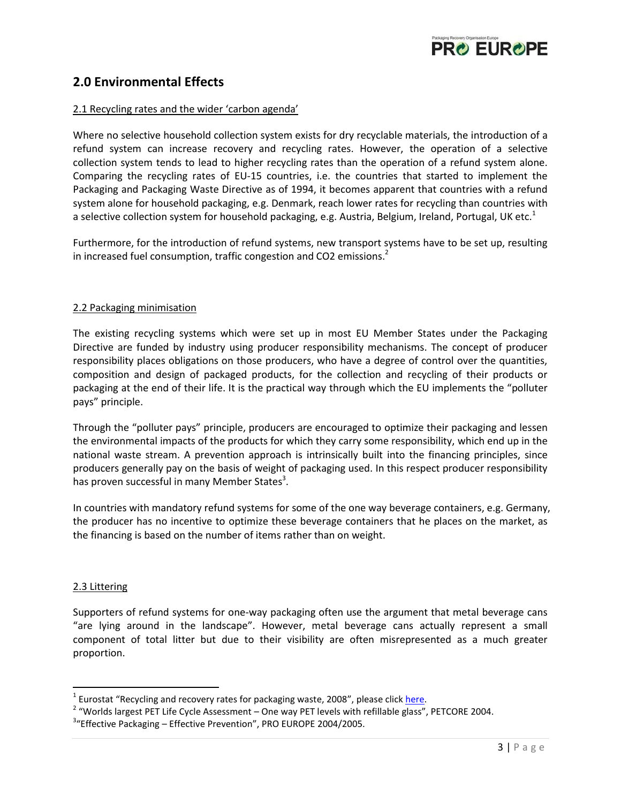

## **2.0 Environmental Effects**

#### 2.1 Recycling rates and the wider 'carbon agenda'

Where no selective household collection system exists for dry recyclable materials, the introduction of a refund system can increase recovery and recycling rates. However, the operation of a selective collection system tends to lead to higher recycling rates than the operation of a refund system alone. Comparing the recycling rates of EU-15 countries, i.e. the countries that started to implement the Packaging and Packaging Waste Directive as of 1994, it becomes apparent that countries with a refund system alone for household packaging, e.g. Denmark, reach lower rates for recycling than countries with a selective collection system for household packaging, e.g. Austria, Belgium, Ireland, Portugal, UK etc.<sup>1</sup>

Furthermore, for the introduction of refund systems, new transport systems have to be set up, resulting in increased fuel consumption, traffic congestion and CO2 emissions.<sup>2</sup>

#### 2.2 Packaging minimisation

The existing recycling systems which were set up in most EU Member States under the Packaging Directive are funded by industry using producer responsibility mechanisms. The concept of producer responsibility places obligations on those producers, who have a degree of control over the quantities, composition and design of packaged products, for the collection and recycling of their products or packaging at the end of their life. It is the practical way through which the EU implements the "polluter pays" principle.

Through the "polluter pays" principle, producers are encouraged to optimize their packaging and lessen the environmental impacts of the products for which they carry some responsibility, which end up in the national waste stream. A prevention approach is intrinsically built into the financing principles, since producers generally pay on the basis of weight of packaging used. In this respect producer responsibility has proven successful in many Member States<sup>3</sup>.

In countries with mandatory refund systems for some of the one way beverage containers, e.g. Germany, the producer has no incentive to optimize these beverage containers that he places on the market, as the financing is based on the number of items rather than on weight.

#### 2.3 Littering

 $\overline{\phantom{a}}$ 

Supporters of refund systems for one-way packaging often use the argument that metal beverage cans "are lying around in the landscape". However, metal beverage cans actually represent a small component of total litter but due to their visibility are often misrepresented as a much greater proportion.

<sup>&</sup>lt;sup>1</sup> Eurostat "Recycling and recovery rates for packaging waste, 2008", please click <u>here</u>.

 $2\,$  "Worlds largest PET Life Cycle Assessment – One way PET levels with refillable glass", PETCORE 2004.

<sup>&</sup>lt;sup>3</sup>"Effective Packaging – Effective Prevention", PRO EUROPE 2004/2005.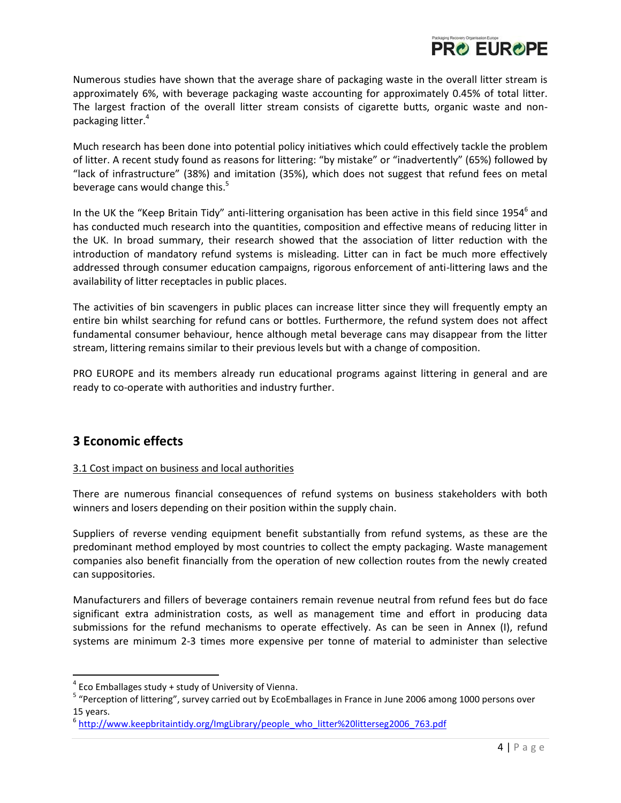

Numerous studies have shown that the average share of packaging waste in the overall litter stream is approximately 6%, with beverage packaging waste accounting for approximately 0.45% of total litter. The largest fraction of the overall litter stream consists of cigarette butts, organic waste and nonpackaging litter.<sup>4</sup>

Much research has been done into potential policy initiatives which could effectively tackle the problem of litter. A recent study found as reasons for littering: "by mistake" or "inadvertently" (65%) followed by "lack of infrastructure" (38%) and imitation (35%), which does not suggest that refund fees on metal beverage cans would change this.<sup>5</sup>

In the UK the "Keep Britain Tidy" anti-littering organisation has been active in this field since 1954<sup>6</sup> and has conducted much research into the quantities, composition and effective means of reducing litter in the UK. In broad summary, their research showed that the association of litter reduction with the introduction of mandatory refund systems is misleading. Litter can in fact be much more effectively addressed through consumer education campaigns, rigorous enforcement of anti-littering laws and the availability of litter receptacles in public places.

The activities of bin scavengers in public places can increase litter since they will frequently empty an entire bin whilst searching for refund cans or bottles. Furthermore, the refund system does not affect fundamental consumer behaviour, hence although metal beverage cans may disappear from the litter stream, littering remains similar to their previous levels but with a change of composition.

PRO EUROPE and its members already run educational programs against littering in general and are ready to co-operate with authorities and industry further.

## **3 Economic effects**

 $\overline{a}$ 

## 3.1 Cost impact on business and local authorities

There are numerous financial consequences of refund systems on business stakeholders with both winners and losers depending on their position within the supply chain.

Suppliers of reverse vending equipment benefit substantially from refund systems, as these are the predominant method employed by most countries to collect the empty packaging. Waste management companies also benefit financially from the operation of new collection routes from the newly created can suppositories.

Manufacturers and fillers of beverage containers remain revenue neutral from refund fees but do face significant extra administration costs, as well as management time and effort in producing data submissions for the refund mechanisms to operate effectively. As can be seen in Annex (I), refund systems are minimum 2-3 times more expensive per tonne of material to administer than selective

 $4$  Eco Emballages study + study of University of Vienna.

<sup>&</sup>lt;sup>5</sup> "Perception of littering", survey carried out by EcoEmballages in France in June 2006 among 1000 persons over 15 years.

<sup>&</sup>lt;sup>6</sup> [http://www.keepbritaintidy.org/ImgLibrary/people\\_who\\_litter%20litterseg2006\\_763.pdf](http://www.keepbritaintidy.org/ImgLibrary/people_who_litter%20litterseg2006_763.pdf)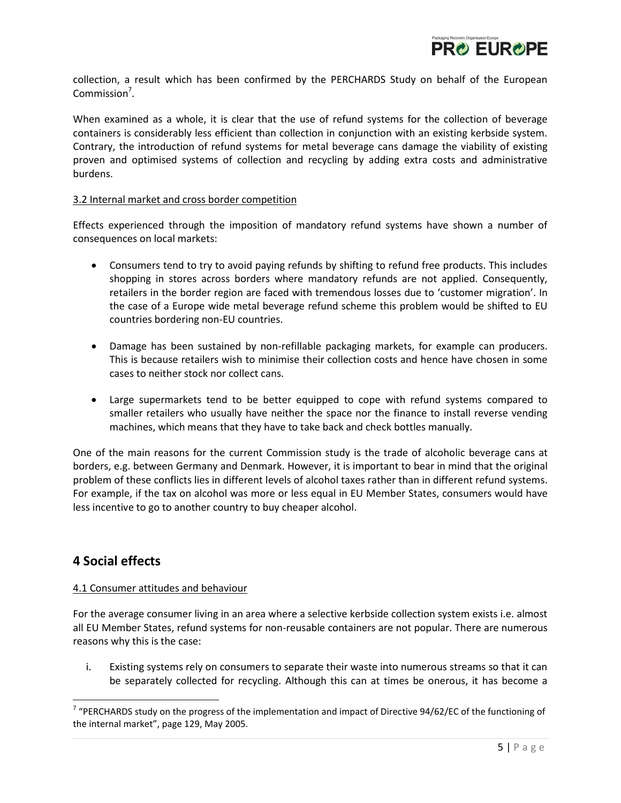

collection, a result which has been confirmed by the PERCHARDS Study on behalf of the European Commission<sup>7</sup>.

When examined as a whole, it is clear that the use of refund systems for the collection of beverage containers is considerably less efficient than collection in conjunction with an existing kerbside system. Contrary, the introduction of refund systems for metal beverage cans damage the viability of existing proven and optimised systems of collection and recycling by adding extra costs and administrative burdens.

#### 3.2 Internal market and cross border competition

Effects experienced through the imposition of mandatory refund systems have shown a number of consequences on local markets:

- Consumers tend to try to avoid paying refunds by shifting to refund free products. This includes shopping in stores across borders where mandatory refunds are not applied. Consequently, retailers in the border region are faced with tremendous losses due to 'customer migration'. In the case of a Europe wide metal beverage refund scheme this problem would be shifted to EU countries bordering non-EU countries.
- Damage has been sustained by non-refillable packaging markets, for example can producers. This is because retailers wish to minimise their collection costs and hence have chosen in some cases to neither stock nor collect cans.
- Large supermarkets tend to be better equipped to cope with refund systems compared to smaller retailers who usually have neither the space nor the finance to install reverse vending machines, which means that they have to take back and check bottles manually.

One of the main reasons for the current Commission study is the trade of alcoholic beverage cans at borders, e.g. between Germany and Denmark. However, it is important to bear in mind that the original problem of these conflicts lies in different levels of alcohol taxes rather than in different refund systems. For example, if the tax on alcohol was more or less equal in EU Member States, consumers would have less incentive to go to another country to buy cheaper alcohol.

## **4 Social effects**

l

## 4.1 Consumer attitudes and behaviour

For the average consumer living in an area where a selective kerbside collection system exists i.e. almost all EU Member States, refund systems for non-reusable containers are not popular. There are numerous reasons why this is the case:

i. Existing systems rely on consumers to separate their waste into numerous streams so that it can be separately collected for recycling. Although this can at times be onerous, it has become a

<sup>&</sup>lt;sup>7</sup> "PERCHARDS study on the progress of the implementation and impact of Directive 94/62/EC of the functioning of the internal market", page 129, May 2005.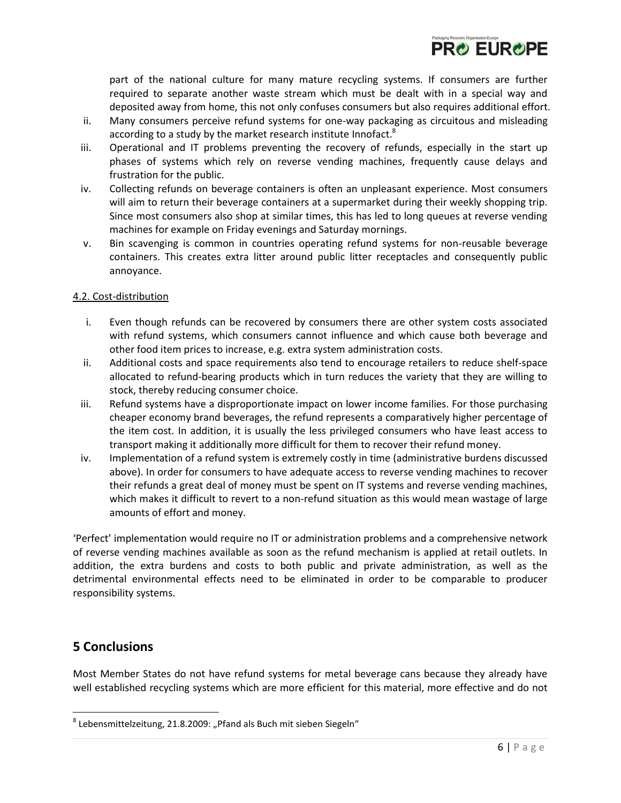part of the national culture for many mature recycling systems. If consumers are further required to separate another waste stream which must be dealt with in a special way and deposited away from home, this not only confuses consumers but also requires additional effort.

**PRO EUROPE** 

- ii. Many consumers perceive refund systems for one-way packaging as circuitous and misleading according to a study by the market research institute Innofact. $^8$
- iii. Operational and IT problems preventing the recovery of refunds, especially in the start up phases of systems which rely on reverse vending machines, frequently cause delays and frustration for the public.
- iv. Collecting refunds on beverage containers is often an unpleasant experience. Most consumers will aim to return their beverage containers at a supermarket during their weekly shopping trip. Since most consumers also shop at similar times, this has led to long queues at reverse vending machines for example on Friday evenings and Saturday mornings.
- v. Bin scavenging is common in countries operating refund systems for non-reusable beverage containers. This creates extra litter around public litter receptacles and consequently public annoyance.

## 4.2. Cost-distribution

- i. Even though refunds can be recovered by consumers there are other system costs associated with refund systems, which consumers cannot influence and which cause both beverage and other food item prices to increase, e.g. extra system administration costs.
- ii. Additional costs and space requirements also tend to encourage retailers to reduce shelf-space allocated to refund-bearing products which in turn reduces the variety that they are willing to stock, thereby reducing consumer choice.
- iii. Refund systems have a disproportionate impact on lower income families. For those purchasing cheaper economy brand beverages, the refund represents a comparatively higher percentage of the item cost. In addition, it is usually the less privileged consumers who have least access to transport making it additionally more difficult for them to recover their refund money.
- iv. Implementation of a refund system is extremely costly in time (administrative burdens discussed above). In order for consumers to have adequate access to reverse vending machines to recover their refunds a great deal of money must be spent on IT systems and reverse vending machines, which makes it difficult to revert to a non-refund situation as this would mean wastage of large amounts of effort and money.

'Perfect' implementation would require no IT or administration problems and a comprehensive network of reverse vending machines available as soon as the refund mechanism is applied at retail outlets. In addition, the extra burdens and costs to both public and private administration, as well as the detrimental environmental effects need to be eliminated in order to be comparable to producer responsibility systems.

## **5 Conclusions**

 $\overline{\phantom{a}}$ 

Most Member States do not have refund systems for metal beverage cans because they already have well established recycling systems which are more efficient for this material, more effective and do not

 $^8$  Lebensmittelzeitung, 21.8.2009: "Pfand als Buch mit sieben Siegeln"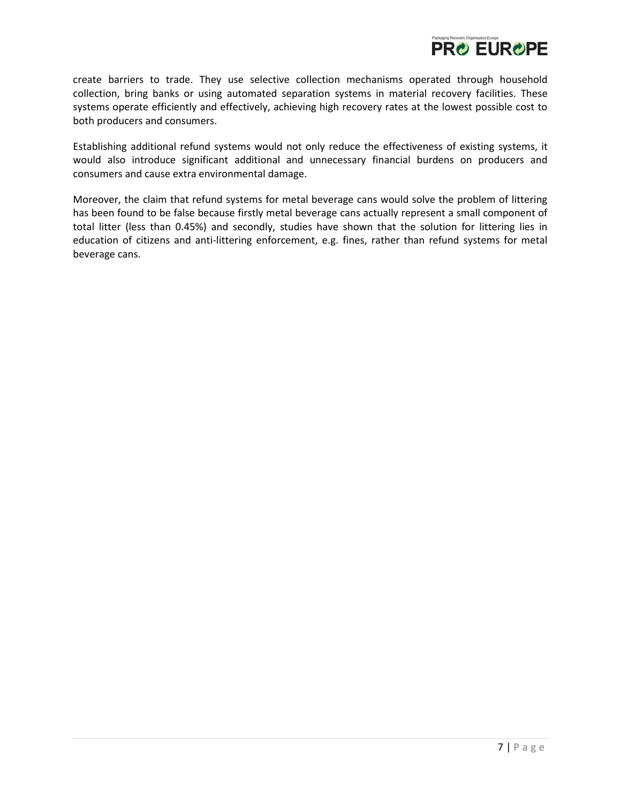

create barriers to trade. They use selective collection mechanisms operated through household collection, bring banks or using automated separation systems in material recovery facilities. These systems operate efficiently and effectively, achieving high recovery rates at the lowest possible cost to both producers and consumers.

Establishing additional refund systems would not only reduce the effectiveness of existing systems, it would also introduce significant additional and unnecessary financial burdens on producers and consumers and cause extra environmental damage.

Moreover, the claim that refund systems for metal beverage cans would solve the problem of littering has been found to be false because firstly metal beverage cans actually represent a small component of total litter (less than 0.45%) and secondly, studies have shown that the solution for littering lies in education of citizens and anti-littering enforcement, e.g. fines, rather than refund systems for metal beverage cans.